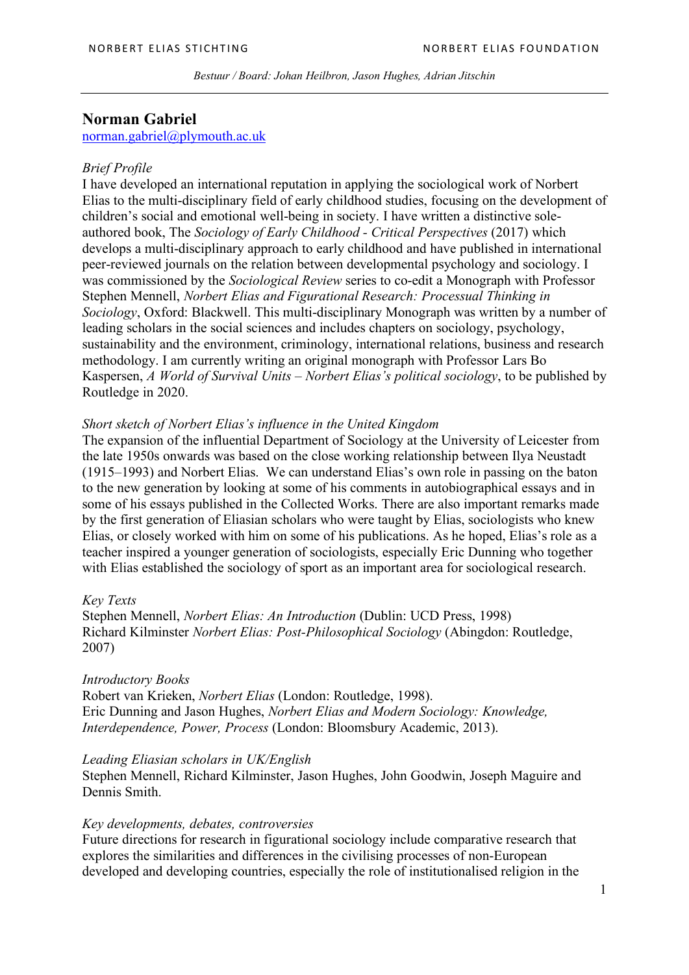*Bestuur / Board: Johan Heilbron, Jason Hughes, Adrian Jitschin*

# **Norman Gabriel**

norman.gabriel@plymouth.ac.uk

# *Brief Profile*

I have developed an international reputation in applying the sociological work of Norbert Elias to the multi-disciplinary field of early childhood studies, focusing on the development of children's social and emotional well-being in society. I have written a distinctive soleauthored book, The *Sociology of Early Childhood - Critical Perspectives* (2017) which develops a multi-disciplinary approach to early childhood and have published in international peer-reviewed journals on the relation between developmental psychology and sociology. I was commissioned by the *Sociological Review* series to co-edit a Monograph with Professor Stephen Mennell, *Norbert Elias and Figurational Research: Processual Thinking in Sociology*, Oxford: Blackwell. This multi-disciplinary Monograph was written by a number of leading scholars in the social sciences and includes chapters on sociology, psychology, sustainability and the environment, criminology, international relations, business and research methodology. I am currently writing an original monograph with Professor Lars Bo Kaspersen, *A World of Survival Units – Norbert Elias's political sociology*, to be published by Routledge in 2020.

# *Short sketch of Norbert Elias's influence in the United Kingdom*

The expansion of the influential Department of Sociology at the University of Leicester from the late 1950s onwards was based on the close working relationship between Ilya Neustadt (1915–1993) and Norbert Elias. We can understand Elias's own role in passing on the baton to the new generation by looking at some of his comments in autobiographical essays and in some of his essays published in the Collected Works. There are also important remarks made by the first generation of Eliasian scholars who were taught by Elias, sociologists who knew Elias, or closely worked with him on some of his publications. As he hoped, Elias's role as a teacher inspired a younger generation of sociologists, especially Eric Dunning who together with Elias established the sociology of sport as an important area for sociological research.

#### *Key Texts*

Stephen Mennell, *Norbert Elias: An Introduction* (Dublin: UCD Press, 1998) Richard Kilminster *Norbert Elias: Post-Philosophical Sociology* (Abingdon: Routledge, 2007)

## *Introductory Books*

Robert van Krieken, *Norbert Elias* (London: Routledge, 1998). Eric Dunning and Jason Hughes, *Norbert Elias and Modern Sociology: Knowledge, Interdependence, Power, Process* (London: Bloomsbury Academic, 2013).

## *Leading Eliasian scholars in UK/English*

Stephen Mennell, Richard Kilminster, Jason Hughes, John Goodwin, Joseph Maguire and Dennis Smith.

# *Key developments, debates, controversies*

Future directions for research in figurational sociology include comparative research that explores the similarities and differences in the civilising processes of non-European developed and developing countries, especially the role of institutionalised religion in the